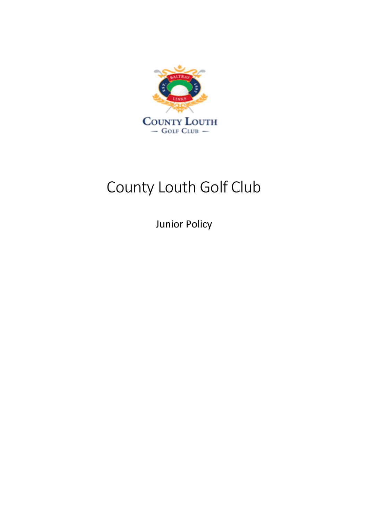

# County Louth Golf Club

Junior Policy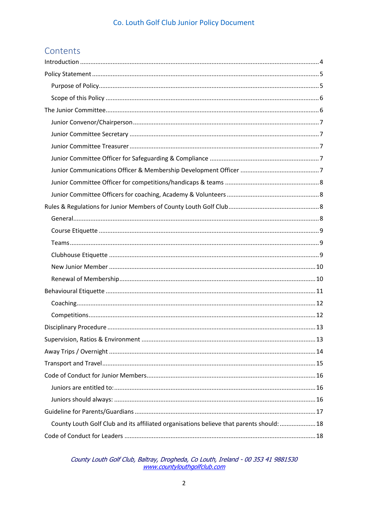### Contents

| County Louth Golf Club and its affiliated organisations believe that parents should:  18 |  |
|------------------------------------------------------------------------------------------|--|
|                                                                                          |  |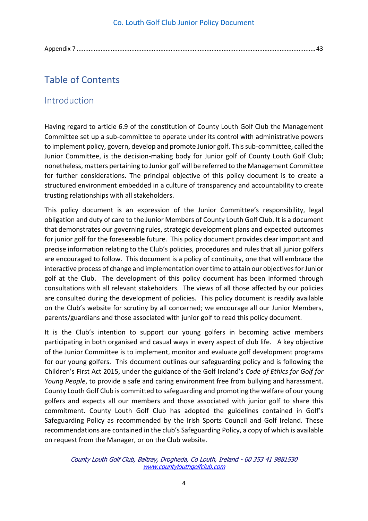Appendix 7 [............................................................................................................................................43](#page-42-1)

### Table of Contents

### <span id="page-3-0"></span>Introduction

Having regard to article 6.9 of the constitution of County Louth Golf Club the Management Committee set up a sub-committee to operate under its control with administrative powers to implement policy, govern, develop and promote Junior golf. This sub-committee, called the Junior Committee, is the decision-making body for Junior golf of County Louth Golf Club; nonetheless, matters pertaining to Junior golf will be referred to the Management Committee for further considerations. The principal objective of this policy document is to create a structured environment embedded in a culture of transparency and accountability to create trusting relationships with all stakeholders.

This policy document is an expression of the Junior Committee's responsibility, legal obligation and duty of care to the Junior Members of County Louth Golf Club. It is a document that demonstrates our governing rules, strategic development plans and expected outcomes for junior golf for the foreseeable future. This policy document provides clear important and precise information relating to the Club's policies, procedures and rules that all junior golfers are encouraged to follow. This document is a policy of continuity, one that will embrace the interactive process of change and implementation over time to attain our objectives for Junior golf at the Club. The development of this policy document has been informed through consultations with all relevant stakeholders. The views of all those affected by our policies are consulted during the development of policies. This policy document is readily available on the Club's website for scrutiny by all concerned; we encourage all our Junior Members, parents/guardians and those associated with junior golf to read this policy document.

It is the Club's intention to support our young golfers in becoming active members participating in both organised and casual ways in every aspect of club life. A key objective of the Junior Committee is to implement, monitor and evaluate golf development programs for our young golfers. This document outlines our safeguarding policy and is following the Children's First Act 2015, under the guidance of the Golf Ireland's *Code of Ethics for Golf for Young People*, to provide a safe and caring environment free from bullying and harassment. County Louth Golf Club is committed to safeguarding and promoting the welfare of our young golfers and expects all our members and those associated with junior golf to share this commitment. County Louth Golf Club has adopted the guidelines contained in Golf's Safeguarding Policy as recommended by the Irish Sports Council and Golf Ireland. These recommendations are contained in the club's Safeguarding Policy, a copy of which is available on request from the Manager, or on the Club website.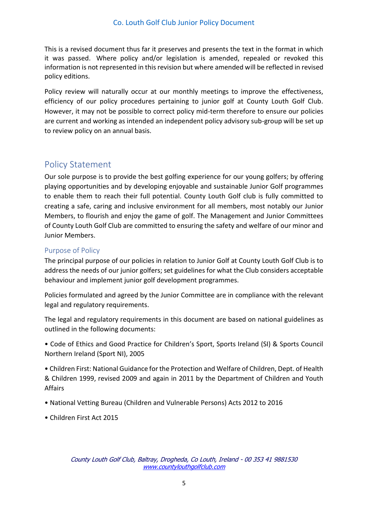This is a revised document thus far it preserves and presents the text in the format in which it was passed. Where policy and/or legislation is amended, repealed or revoked this information is not represented in this revision but where amended will be reflected in revised policy editions.

Policy review will naturally occur at our monthly meetings to improve the effectiveness, efficiency of our policy procedures pertaining to junior golf at County Louth Golf Club. However, it may not be possible to correct policy mid-term therefore to ensure our policies are current and working as intended an independent policy advisory sub-group will be set up to review policy on an annual basis.

### <span id="page-4-0"></span>Policy Statement

Our sole purpose is to provide the best golfing experience for our young golfers; by offering playing opportunities and by developing enjoyable and sustainable Junior Golf programmes to enable them to reach their full potential. County Louth Golf club is fully committed to creating a safe, caring and inclusive environment for all members, most notably our Junior Members, to flourish and enjoy the game of golf. The Management and Junior Committees of County Louth Golf Club are committed to ensuring the safety and welfare of our minor and Junior Members.

### <span id="page-4-1"></span>Purpose of Policy

The principal purpose of our policies in relation to Junior Golf at County Louth Golf Club is to address the needs of our junior golfers; set guidelines for what the Club considers acceptable behaviour and implement junior golf development programmes.

Policies formulated and agreed by the Junior Committee are in compliance with the relevant legal and regulatory requirements.

The legal and regulatory requirements in this document are based on national guidelines as outlined in the following documents:

• Code of Ethics and Good Practice for Children's Sport, Sports Ireland (SI) & Sports Council Northern Ireland (Sport NI), 2005

• Children First: National Guidance for the Protection and Welfare of Children, Dept. of Health & Children 1999, revised 2009 and again in 2011 by the Department of Children and Youth Affairs

- National Vetting Bureau (Children and Vulnerable Persons) Acts 2012 to 2016
- Children First Act 2015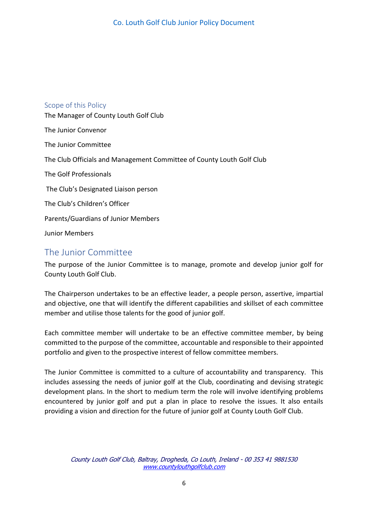## <span id="page-5-0"></span>Scope of this Policy The Manager of County Louth Golf Club The Junior Convenor The Junior Committee The Club Officials and Management Committee of County Louth Golf Club The Golf Professionals The Club's Designated Liaison person The Club's Children's Officer Parents/Guardians of Junior Members Junior Members

### <span id="page-5-1"></span>The Junior Committee

The purpose of the Junior Committee is to manage, promote and develop junior golf for County Louth Golf Club.

The Chairperson undertakes to be an effective leader, a people person, assertive, impartial and objective, one that will identify the different capabilities and skillset of each committee member and utilise those talents for the good of junior golf.

Each committee member will undertake to be an effective committee member, by being committed to the purpose of the committee, accountable and responsible to their appointed portfolio and given to the prospective interest of fellow committee members.

The Junior Committee is committed to a culture of accountability and transparency. This includes assessing the needs of junior golf at the Club, coordinating and devising strategic development plans. In the short to medium term the role will involve identifying problems encountered by junior golf and put a plan in place to resolve the issues. It also entails providing a vision and direction for the future of junior golf at County Louth Golf Club.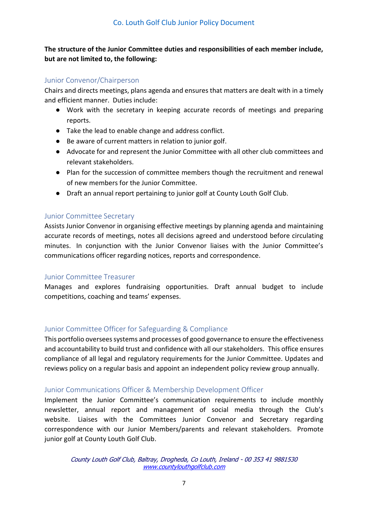### **The structure of the Junior Committee duties and responsibilities of each member include, but are not limited to, the following:**

### <span id="page-6-0"></span>Junior Convenor/Chairperson

Chairs and directs meetings, plans agenda and ensures that matters are dealt with in a timely and efficient manner. Duties include:

- Work with the secretary in keeping accurate records of meetings and preparing reports.
- Take the lead to enable change and address conflict.
- Be aware of current matters in relation to junior golf.
- Advocate for and represent the Junior Committee with all other club committees and relevant stakeholders.
- Plan for the succession of committee members though the recruitment and renewal of new members for the Junior Committee.
- Draft an annual report pertaining to junior golf at County Louth Golf Club.

### <span id="page-6-1"></span>Junior Committee Secretary

Assists Junior Convenor in organising effective meetings by planning agenda and maintaining accurate records of meetings, notes all decisions agreed and understood before circulating minutes. In conjunction with the Junior Convenor liaises with the Junior Committee's communications officer regarding notices, reports and correspondence.

### <span id="page-6-2"></span>Junior Committee Treasurer

Manages and explores fundraising opportunities. Draft annual budget to include competitions, coaching and teams' expenses.

### <span id="page-6-3"></span>Junior Committee Officer for Safeguarding & Compliance

This portfolio oversees systems and processes of good governance to ensure the effectiveness and accountability to build trust and confidence with all our stakeholders. This office ensures compliance of all legal and regulatory requirements for the Junior Committee. Updates and reviews policy on a regular basis and appoint an independent policy review group annually.

### <span id="page-6-4"></span>Junior Communications Officer & Membership Development Officer

Implement the Junior Committee's communication requirements to include monthly newsletter, annual report and management of social media through the Club's website. Liaises with the Committees Junior Convenor and Secretary regarding correspondence with our Junior Members/parents and relevant stakeholders. Promote junior golf at County Louth Golf Club.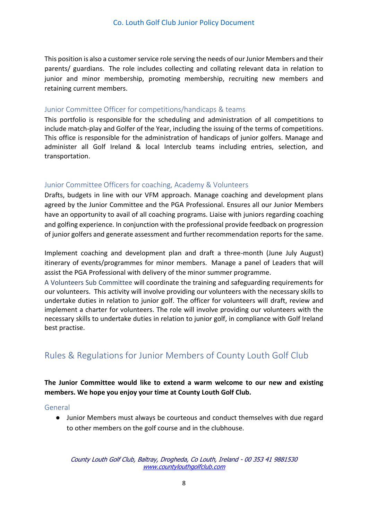This position is also a customer service role serving the needs of our Junior Members and their parents/ guardians. The role includes collecting and collating relevant data in relation to junior and minor membership, promoting membership, recruiting new members and retaining current members.

### <span id="page-7-0"></span>Junior Committee Officer for competitions/handicaps & teams

This portfolio is responsible for the scheduling and administration of all competitions to include match-play and Golfer of the Year, including the issuing of the terms of competitions. This office is responsible for the administration of handicaps of junior golfers. Manage and administer all Golf Ireland & local Interclub teams including entries, selection, and transportation.

### <span id="page-7-1"></span>Junior Committee Officers for coaching, Academy & Volunteers

Drafts, budgets in line with our VFM approach. Manage coaching and development plans agreed by the Junior Committee and the PGA Professional. Ensures all our Junior Members have an opportunity to avail of all coaching programs. Liaise with juniors regarding coaching and golfing experience. In conjunction with the professional provide feedback on progression of junior golfers and generate assessment and further recommendation reports for the same.

Implement coaching and development plan and draft a three-month (June July August) itinerary of events/programmes for minor members. Manage a panel of Leaders that will assist the PGA Professional with delivery of the minor summer programme.

A Volunteers Sub Committee will coordinate the training and safeguarding requirements for our volunteers. This activity will involve providing our volunteers with the necessary skills to undertake duties in relation to junior golf. The officer for volunteers will draft, review and implement a charter for volunteers. The role will involve providing our volunteers with the necessary skills to undertake duties in relation to junior golf, in compliance with Golf Ireland best practise.

### <span id="page-7-2"></span>Rules & Regulations for Junior Members of County Louth Golf Club

### **The Junior Committee would like to extend a warm welcome to our new and existing members. We hope you enjoy your time at County Louth Golf Club.**

<span id="page-7-3"></span>General

● Junior Members must always be courteous and conduct themselves with due regard to other members on the golf course and in the clubhouse.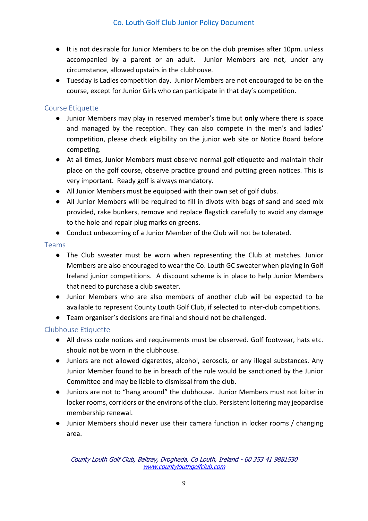- It is not desirable for Junior Members to be on the club premises after 10pm. unless accompanied by a parent or an adult. Junior Members are not, under any circumstance, allowed upstairs in the clubhouse.
- Tuesday is Ladies competition day. Junior Members are not encouraged to be on the course, except for Junior Girls who can participate in that day's competition.

### <span id="page-8-0"></span>Course Etiquette

- Junior Members may play in reserved member's time but **only** where there is space and managed by the reception. They can also compete in the men's and ladies' competition, please check eligibility on the junior web site or Notice Board before competing.
- At all times, Junior Members must observe normal golf etiquette and maintain their place on the golf course, observe practice ground and putting green notices. This is very important. Ready golf is always mandatory.
- All Junior Members must be equipped with their own set of golf clubs.
- All Junior Members will be required to fill in divots with bags of sand and seed mix provided, rake bunkers, remove and replace flagstick carefully to avoid any damage to the hole and repair plug marks on greens.
- Conduct unbecoming of a Junior Member of the Club will not be tolerated.

### <span id="page-8-1"></span>Teams

- The Club sweater must be worn when representing the Club at matches. Junior Members are also encouraged to wear the Co. Louth GC sweater when playing in Golf Ireland junior competitions. A discount scheme is in place to help Junior Members that need to purchase a club sweater.
- Junior Members who are also members of another club will be expected to be available to represent County Louth Golf Club, if selected to inter-club competitions.
- Team organiser's decisions are final and should not be challenged.

### <span id="page-8-2"></span>Clubhouse Etiquette

- All dress code notices and requirements must be observed. Golf footwear, hats etc. should not be worn in the clubhouse.
- Juniors are not allowed cigarettes, alcohol, aerosols, or any illegal substances. Any Junior Member found to be in breach of the rule would be sanctioned by the Junior Committee and may be liable to dismissal from the club.
- Juniors are not to "hang around" the clubhouse. Junior Members must not loiter in locker rooms, corridors or the environs of the club. Persistent loitering may jeopardise membership renewal.
- Junior Members should never use their camera function in locker rooms / changing area.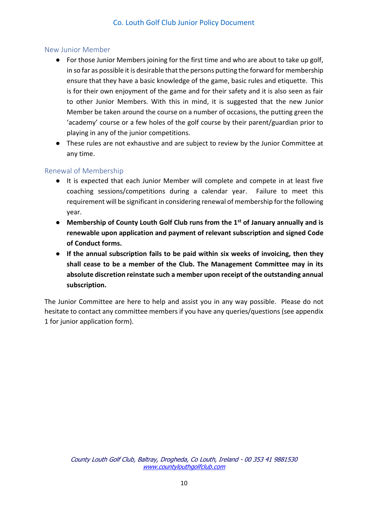### <span id="page-9-0"></span>New Junior Member

- For those Junior Members joining for the first time and who are about to take up golf, in so far as possible it is desirable that the persons putting the forward for membership ensure that they have a basic knowledge of the game, basic rules and etiquette. This is for their own enjoyment of the game and for their safety and it is also seen as fair to other Junior Members. With this in mind, it is suggested that the new Junior Member be taken around the course on a number of occasions, the putting green the 'academy' course or a few holes of the golf course by their parent/guardian prior to playing in any of the junior competitions.
- These rules are not exhaustive and are subject to review by the Junior Committee at any time.

### <span id="page-9-1"></span>Renewal of Membership

- It is expected that each Junior Member will complete and compete in at least five coaching sessions/competitions during a calendar year. Failure to meet this requirement will be significant in considering renewal of membership for the following year.
- **Membership of County Louth Golf Club runs from the 1st of January annually and is renewable upon application and payment of relevant subscription and signed Code of Conduct forms.**
- **If the annual subscription fails to be paid within six weeks of invoicing, then they shall cease to be a member of the Club. The Management Committee may in its absolute discretion reinstate such a member upon receipt of the outstanding annual subscription.**

The Junior Committee are here to help and assist you in any way possible. Please do not hesitate to contact any committee members if you have any queries/questions (see appendix 1 for junior application form).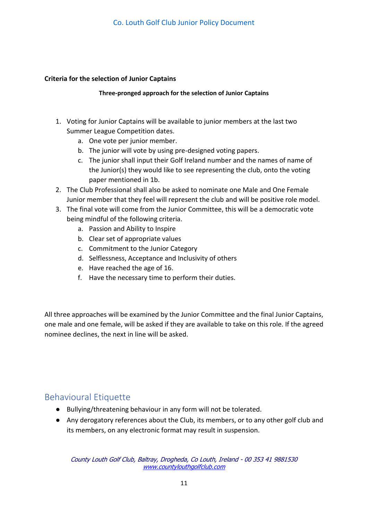### **Criteria for the selection of Junior Captains**

**Three-pronged approach for the selection of Junior Captains**

- 1. Voting for Junior Captains will be available to junior members at the last two Summer League Competition dates.
	- a. One vote per junior member.
	- b. The junior will vote by using pre-designed voting papers.
	- c. The junior shall input their Golf Ireland number and the names of name of the Junior(s) they would like to see representing the club, onto the voting paper mentioned in 1b.
- 2. The Club Professional shall also be asked to nominate one Male and One Female Junior member that they feel will represent the club and will be positive role model.
- 3. The final vote will come from the Junior Committee, this will be a democratic vote being mindful of the following criteria.
	- a. Passion and Ability to Inspire
	- b. Clear set of appropriate values
	- c. Commitment to the Junior Category
	- d. Selflessness, Acceptance and Inclusivity of others
	- e. Have reached the age of 16.
	- f. Have the necessary time to perform their duties.

All three approaches will be examined by the Junior Committee and the final Junior Captains, one male and one female, will be asked if they are available to take on this role. If the agreed nominee declines, the next in line will be asked.

### <span id="page-10-0"></span>Behavioural Etiquette

- Bullying/threatening behaviour in any form will not be tolerated.
- Any derogatory references about the Club, its members, or to any other golf club and its members, on any electronic format may result in suspension.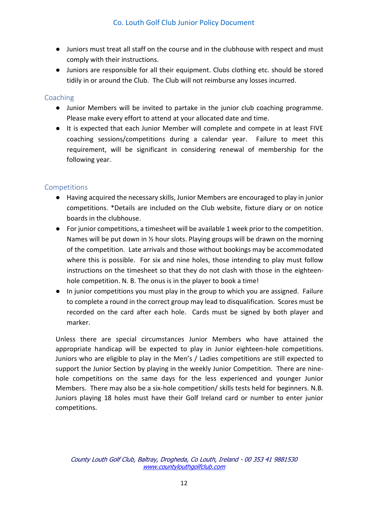- Juniors must treat all staff on the course and in the clubhouse with respect and must comply with their instructions.
- Juniors are responsible for all their equipment. Clubs clothing etc. should be stored tidily in or around the Club. The Club will not reimburse any losses incurred.

### <span id="page-11-0"></span>Coaching

- Junior Members will be invited to partake in the junior club coaching programme. Please make every effort to attend at your allocated date and time.
- It is expected that each Junior Member will complete and compete in at least FIVE coaching sessions/competitions during a calendar year. Failure to meet this requirement, will be significant in considering renewal of membership for the following year.

### <span id="page-11-1"></span>Competitions

- Having acquired the necessary skills, Junior Members are encouraged to play in junior competitions. \*Details are included on the Club website, fixture diary or on notice boards in the clubhouse.
- For junior competitions, a timesheet will be available 1 week prior to the competition. Names will be put down in  $\frac{1}{2}$  hour slots. Playing groups will be drawn on the morning of the competition. Late arrivals and those without bookings may be accommodated where this is possible. For six and nine holes, those intending to play must follow instructions on the timesheet so that they do not clash with those in the eighteenhole competition. N. B. The onus is in the player to book a time!
- In junior competitions you must play in the group to which you are assigned. Failure to complete a round in the correct group may lead to disqualification. Scores must be recorded on the card after each hole. Cards must be signed by both player and marker.

Unless there are special circumstances Junior Members who have attained the appropriate handicap will be expected to play in Junior eighteen-hole competitions. Juniors who are eligible to play in the Men's / Ladies competitions are still expected to support the Junior Section by playing in the weekly Junior Competition. There are ninehole competitions on the same days for the less experienced and younger Junior Members. There may also be a six-hole competition/ skills tests held for beginners. N.B. Juniors playing 18 holes must have their Golf Ireland card or number to enter junior competitions.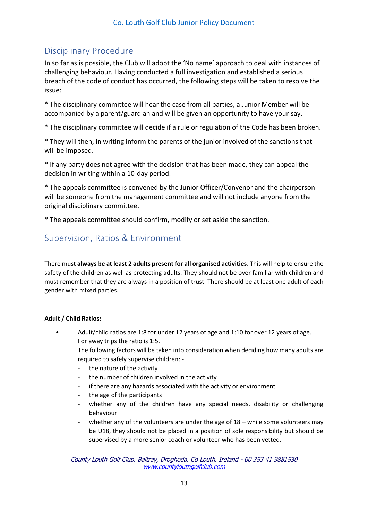### <span id="page-12-0"></span>Disciplinary Procedure

In so far as is possible, the Club will adopt the 'No name' approach to deal with instances of challenging behaviour. Having conducted a full investigation and established a serious breach of the code of conduct has occurred, the following steps will be taken to resolve the issue:

\* The disciplinary committee will hear the case from all parties, a Junior Member will be accompanied by a parent/guardian and will be given an opportunity to have your say.

\* The disciplinary committee will decide if a rule or regulation of the Code has been broken.

\* They will then, in writing inform the parents of the junior involved of the sanctions that will be imposed.

\* If any party does not agree with the decision that has been made, they can appeal the decision in writing within a 10-day period.

\* The appeals committee is convened by the Junior Officer/Convenor and the chairperson will be someone from the management committee and will not include anyone from the original disciplinary committee.

\* The appeals committee should confirm, modify or set aside the sanction.

### <span id="page-12-1"></span>Supervision, Ratios & Environment

There must **always be at least 2 adults present for all organised activities**. This will help to ensure the safety of the children as well as protecting adults. They should not be over familiar with children and must remember that they are always in a position of trust. There should be at least one adult of each gender with mixed parties.

#### **Adult / Child Ratios:**

• Adult/child ratios are 1:8 for under 12 years of age and 1:10 for over 12 years of age. For away trips the ratio is 1:5.

The following factors will be taken into consideration when deciding how many adults are required to safely supervise children: -

- the nature of the activity
- the number of children involved in the activity
- if there are any hazards associated with the activity or environment
- the age of the participants
- whether any of the children have any special needs, disability or challenging behaviour
- whether any of the volunteers are under the age of  $18 -$  while some volunteers may be U18, they should not be placed in a position of sole responsibility but should be supervised by a more senior coach or volunteer who has been vetted.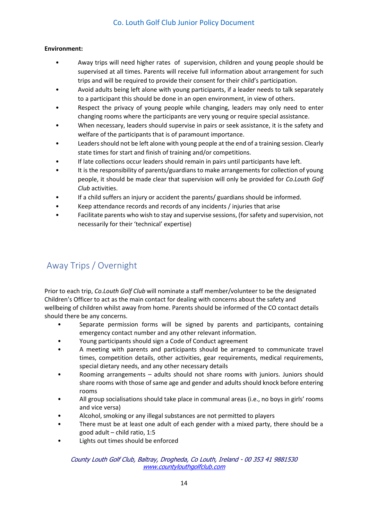#### **Environment:**

- Away trips will need higher rates of supervision, children and young people should be supervised at all times. Parents will receive full information about arrangement for such trips and will be required to provide their consent for their child's participation.
- Avoid adults being left alone with young participants, if a leader needs to talk separately to a participant this should be done in an open environment, in view of others.
- Respect the privacy of young people while changing, leaders may only need to enter changing rooms where the participants are very young or require special assistance.
- When necessary, leaders should supervise in pairs or seek assistance, it is the safety and welfare of the participants that is of paramount importance.
- Leaders should not be left alone with young people at the end of a training session. Clearly state times for start and finish of training and/or competitions.
- If late collections occur leaders should remain in pairs until participants have left.
- It is the responsibility of parents/guardians to make arrangements for collection of young people, it should be made clear that supervision will only be provided for *Co.Louth Golf Club* activities.
- If a child suffers an injury or accident the parents/ guardians should be informed.
- Keep attendance records and records of any incidents / injuries that arise
- Facilitate parents who wish to stay and supervise sessions, (for safety and supervision, not necessarily for their 'technical' expertise)

### <span id="page-13-0"></span>Away Trips / Overnight

Prior to each trip, *Co.Louth Golf Club* will nominate a staff member/volunteer to be the designated Children's Officer to act as the main contact for dealing with concerns about the safety and wellbeing of children whilst away from home. Parents should be informed of the CO contact details should there be any concerns.

- Separate permission forms will be signed by parents and participants, containing emergency contact number and any other relevant information.
- Young participants should sign a Code of Conduct agreement
- A meeting with parents and participants should be arranged to communicate travel times, competition details, other activities, gear requirements, medical requirements, special dietary needs, and any other necessary details
- Rooming arrangements adults should not share rooms with juniors. Juniors should share rooms with those of same age and gender and adults should knock before entering rooms
- All group socialisations should take place in communal areas (i.e., no boys in girls' rooms and vice versa)
- Alcohol, smoking or any illegal substances are not permitted to players
- There must be at least one adult of each gender with a mixed party, there should be a good adult – child ratio, 1:5
- Lights out times should be enforced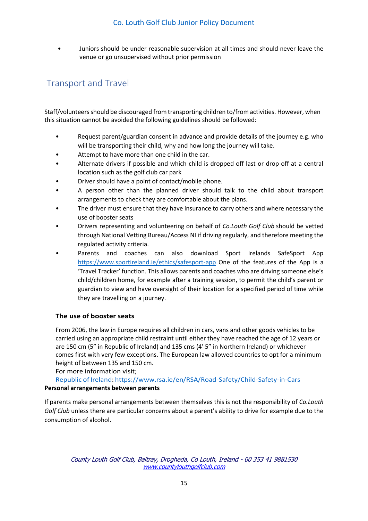• Juniors should be under reasonable supervision at all times and should never leave the venue or go unsupervised without prior permission

### <span id="page-14-0"></span>Transport and Travel

Staff/volunteers should be discouraged from transporting children to/from activities. However, when this situation cannot be avoided the following guidelines should be followed:

- Request parent/guardian consent in advance and provide details of the journey e.g. who will be transporting their child, why and how long the journey will take.
- Attempt to have more than one child in the car.
- Alternate drivers if possible and which child is dropped off last or drop off at a central location such as the golf club car park
- Driver should have a point of contact/mobile phone.
- A person other than the planned driver should talk to the child about transport arrangements to check they are comfortable about the plans.
- The driver must ensure that they have insurance to carry others and where necessary the use of booster seats
- Drivers representing and volunteering on behalf of *Co.Louth Golf Club* should be vetted through National Vetting Bureau/Access NI if driving regularly, and therefore meeting the regulated activity criteria.
- Parents and coaches can also download Sport Irelands SafeSport App <https://www.sportireland.ie/ethics/safesport-app> One of the features of the App is a 'Travel Tracker' function. This allows parents and coaches who are driving someone else's child/children home, for example after a training session, to permit the child's parent or guardian to view and have oversight of their location for a specified period of time while they are travelling on a journey.

#### **The use of booster seats**

From 2006, the law in Europe requires all children in cars, vans and other goods vehicles to be carried using an appropriate child restraint until either they have reached the age of 12 years or are 150 cm (5" in Republic of Ireland) and 135 cms (4' 5" in Northern Ireland) or whichever comes first with very few exceptions. The European law allowed countries to opt for a minimum height of between 135 and 150 cm.

For more information visit;

[Republic](file:///C:/Users/LaptopUser/AppData/Local/Microsoft/Windows/INetCache/Content.Outlook/T6Q1ET0F/Republic%20of%20Ireland) of Ireland: https://www.rsa.ie/en/RSA/Road-Safety/Child-Safety-in-Cars **Personal arrangements between parents**

If parents make personal arrangements between themselves this is not the responsibility of *Co.Louth Golf Club* unless there are particular concerns about a parent's ability to drive for example due to the consumption of alcohol.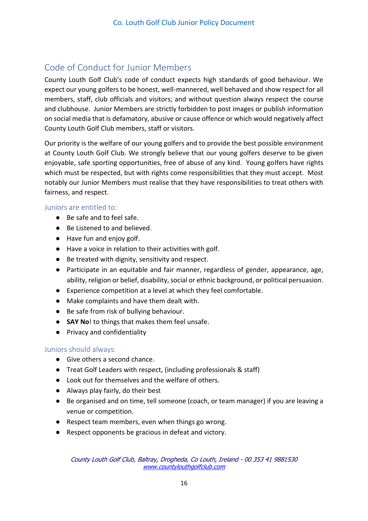### <span id="page-15-0"></span>Code of Conduct for Junior Members

County Louth Golf Club's code of conduct expects high standards of good behaviour. We expect our young golfers to be honest, well-mannered, well behaved and show respect for all members, staff, club officials and visitors; and without question always respect the course and clubhouse. Junior Members are strictly forbidden to post images or publish information on social media that is defamatory, abusive or cause offence or which would negatively affect County Louth Golf Club members, staff or visitors.

Our priority is the welfare of our young golfers and to provide the best possible environment at County Louth Golf Club. We strongly believe that our young golfers deserve to be given enjoyable, safe sporting opportunities, free of abuse of any kind. Young golfers have rights which must be respected, but with rights come responsibilities that they must accept. Most notably our Junior Members must realise that they have responsibilities to treat others with fairness, and respect.

### <span id="page-15-1"></span>Juniors are entitled to:

- Be safe and to feel safe.
- Be Listened to and believed.
- Have fun and enjoy golf.
- Have a voice in relation to their activities with golf.
- Be treated with dignity, sensitivity and respect.
- Participate in an equitable and fair manner, regardless of gender, appearance, age, ability, religion or belief, disability, social or ethnic background, or political persuasion.
- Experience competition at a level at which they feel comfortable.
- Make complaints and have them dealt with.
- Be safe from risk of bullying behaviour.
- **SAY No**! to things that makes them feel unsafe.
- Privacy and confidentiality

### <span id="page-15-2"></span>Juniors should always:

- Give others a second chance.
- Treat Golf Leaders with respect, (including professionals & staff)
- Look out for themselves and the welfare of others.
- Always play fairly, do their best
- Be organised and on time, tell someone (coach, or team manager) if you are leaving a venue or competition.
- Respect team members, even when things go wrong.
- Respect opponents be gracious in defeat and victory.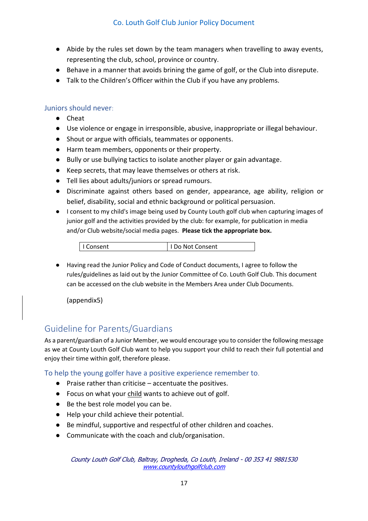- Abide by the rules set down by the team managers when travelling to away events, representing the club, school, province or country.
- Behave in a manner that avoids brining the game of golf, or the Club into disrepute.
- Talk to the Children's Officer within the Club if you have any problems.

### Juniors should never:

- Cheat
- Use violence or engage in irresponsible, abusive, inappropriate or illegal behaviour.
- Shout or argue with officials, teammates or opponents.
- Harm team members, opponents or their property.
- Bully or use bullying tactics to isolate another player or gain advantage.
- Keep secrets, that may leave themselves or others at risk.
- Tell lies about adults/juniors or spread rumours.
- Discriminate against others based on gender, appearance, age ability, religion or belief, disability, social and ethnic background or political persuasion.
- I consent to my child's image being used by County Louth golf club when capturing images of junior golf and the activities provided by the club: for example, for publication in media and/or Club website/social media pages. **Please tick the appropriate box.**

● Having read the Junior Policy and Code of Conduct documents, I agree to follow the rules/guidelines as laid out by the Junior Committee of Co. Louth Golf Club. This document can be accessed on the club website in the Members Area under Club Documents.

(appendix5)

### <span id="page-16-0"></span>Guideline for Parents/Guardians

As a parent/guardian of a Junior Member, we would encourage you to consider the following message as we at County Louth Golf Club want to help you support your child to reach their full potential and enjoy their time within golf, therefore please.

To help the young golfer have a positive experience remember to.

- Praise rather than criticise accentuate the positives.
- Focus on what your child wants to achieve out of golf.
- Be the best role model you can be.
- Help your child achieve their potential.
- Be mindful, supportive and respectful of other children and coaches.
- Communicate with the coach and club/organisation.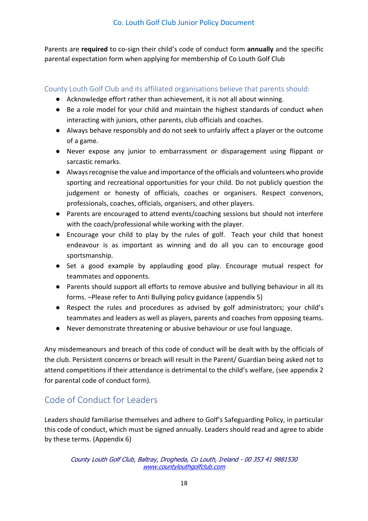Parents are **required** to co-sign their child's code of conduct form **annually** and the specific parental expectation form when applying for membership of Co Louth Golf Club

### <span id="page-17-0"></span>County Louth Golf Club and its affiliated organisations believe that parents should:

- Acknowledge effort rather than achievement, it is not all about winning.
- Be a role model for your child and maintain the highest standards of conduct when interacting with juniors, other parents, club officials and coaches.
- Always behave responsibly and do not seek to unfairly affect a player or the outcome of a game.
- Never expose any junior to embarrassment or disparagement using flippant or sarcastic remarks.
- Always recognise the value and importance of the officials and volunteers who provide sporting and recreational opportunities for your child. Do not publicly question the judgement or honesty of officials, coaches or organisers. Respect convenors, professionals, coaches, officials, organisers, and other players.
- Parents are encouraged to attend events/coaching sessions but should not interfere with the coach/professional while working with the player.
- Encourage your child to play by the rules of golf. Teach your child that honest endeavour is as important as winning and do all you can to encourage good sportsmanship.
- Set a good example by applauding good play. Encourage mutual respect for teammates and opponents.
- Parents should support all efforts to remove abusive and bullying behaviour in all its forms. –Please refer to Anti Bullying policy guidance (appendix 5)
- Respect the rules and procedures as advised by golf administrators; your child's teammates and leaders as well as players, parents and coaches from opposing teams.
- Never demonstrate threatening or abusive behaviour or use foul language.

Any misdemeanours and breach of this code of conduct will be dealt with by the officials of the club. Persistent concerns or breach will result in the Parent/ Guardian being asked not to attend competitions if their attendance is detrimental to the child's welfare, (see appendix 2 for parental code of conduct form).

### <span id="page-17-1"></span>Code of Conduct for Leaders

Leaders should familiarise themselves and adhere to Golf's Safeguarding Policy, in particular this code of conduct, which must be signed annually. Leaders should read and agree to abide by these terms. (Appendix 6)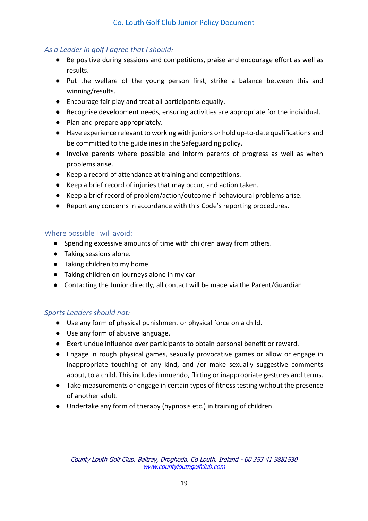### *As a Leader in golf I agree that I should:*

- Be positive during sessions and competitions, praise and encourage effort as well as results.
- Put the welfare of the young person first, strike a balance between this and winning/results.
- Encourage fair play and treat all participants equally.
- Recognise development needs, ensuring activities are appropriate for the individual.
- Plan and prepare appropriately.
- Have experience relevant to working with juniors or hold up-to-date qualifications and be committed to the guidelines in the Safeguarding policy.
- Involve parents where possible and inform parents of progress as well as when problems arise.
- Keep a record of attendance at training and competitions.
- Keep a brief record of injuries that may occur, and action taken.
- Keep a brief record of problem/action/outcome if behavioural problems arise.
- Report any concerns in accordance with this Code's reporting procedures.

### <span id="page-18-0"></span>Where possible I will avoid:

- Spending excessive amounts of time with children away from others.
- Taking sessions alone.
- Taking children to my home.
- Taking children on journeys alone in my car
- Contacting the Junior directly, all contact will be made via the Parent/Guardian

### *Sports Leaders should not:*

- Use any form of physical punishment or physical force on a child.
- Use any form of abusive language.
- Exert undue influence over participants to obtain personal benefit or reward.
- Engage in rough physical games, sexually provocative games or allow or engage in inappropriate touching of any kind, and /or make sexually suggestive comments about, to a child. This includes innuendo, flirting or inappropriate gestures and terms.
- Take measurements or engage in certain types of fitness testing without the presence of another adult.
- Undertake any form of therapy (hypnosis etc.) in training of children.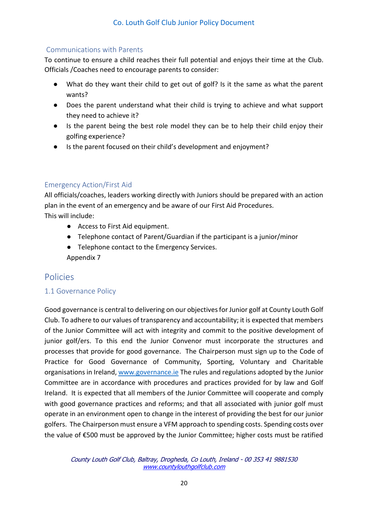### <span id="page-19-0"></span>Communications with Parents

To continue to ensure a child reaches their full potential and enjoys their time at the Club. Officials /Coaches need to encourage parents to consider:

- What do they want their child to get out of golf? Is it the same as what the parent wants?
- Does the parent understand what their child is trying to achieve and what support they need to achieve it?
- Is the parent being the best role model they can be to help their child enjoy their golfing experience?
- Is the parent focused on their child's development and enjoyment?

### <span id="page-19-1"></span>Emergency Action/First Aid

All officials/coaches, leaders working directly with Juniors should be prepared with an action plan in the event of an emergency and be aware of our First Aid Procedures. This will include:

- Access to First Aid equipment.
- Telephone contact of Parent/Guardian if the participant is a junior/minor
- Telephone contact to the Emergency Services. Appendix 7

### <span id="page-19-2"></span>Policies

### <span id="page-19-3"></span>1.1 Governance Policy

Good governance is central to delivering on our objectives for Junior golf at County Louth Golf Club. To adhere to our values of transparency and accountability; it is expected that members of the Junior Committee will act with integrity and commit to the positive development of junior golf/ers. To this end the Junior Convenor must incorporate the structures and processes that provide for good governance. The Chairperson must sign up to the Code of Practice for Good Governance of Community, Sporting, Voluntary and Charitable organisations in Ireland[, www.governance.ie](http://www.governance.ie/) The rules and regulations adopted by the Junior Committee are in accordance with procedures and practices provided for by law and Golf Ireland. It is expected that all members of the Junior Committee will cooperate and comply with good governance practices and reforms; and that all associated with junior golf must operate in an environment open to change in the interest of providing the best for our junior golfers. The Chairperson must ensure a VFM approach to spending costs. Spending costs over the value of €500 must be approved by the Junior Committee; higher costs must be ratified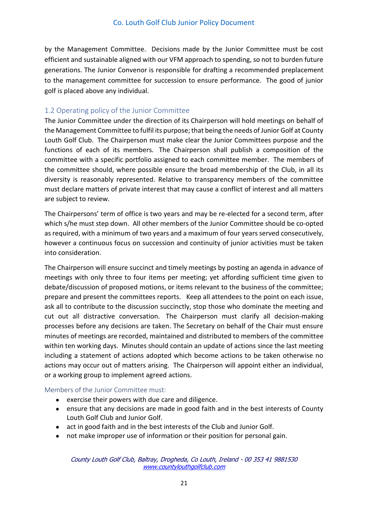by the Management Committee. Decisions made by the Junior Committee must be cost efficient and sustainable aligned with our VFM approach to spending, so not to burden future generations. The Junior Convenor is responsible for drafting a recommended preplacement to the management committee for succession to ensure performance. The good of junior golf is placed above any individual.

### <span id="page-20-0"></span>1.2 Operating policy of the Junior Committee

The Junior Committee under the direction of its Chairperson will hold meetings on behalf of the Management Committee to fulfil its purpose; that being the needs of Junior Golf at County Louth Golf Club. The Chairperson must make clear the Junior Committees purpose and the functions of each of its members. The Chairperson shall publish a composition of the committee with a specific portfolio assigned to each committee member. The members of the committee should, where possible ensure the broad membership of the Club, in all its diversity is reasonably represented. Relative to transparency members of the committee must declare matters of private interest that may cause a conflict of interest and all matters are subject to review.

The Chairpersons' term of office is two years and may be re-elected for a second term, after which s/he must step down. All other members of the Junior Committee should be co-opted as required, with a minimum of two years and a maximum of four years served consecutively, however a continuous focus on succession and continuity of junior activities must be taken into consideration.

The Chairperson will ensure succinct and timely meetings by posting an agenda in advance of meetings with only three to four items per meeting; yet affording sufficient time given to debate/discussion of proposed motions, or items relevant to the business of the committee; prepare and present the committees reports. Keep all attendees to the point on each issue, ask all to contribute to the discussion succinctly, stop those who dominate the meeting and cut out all distractive conversation. The Chairperson must clarify all decision-making processes before any decisions are taken. The Secretary on behalf of the Chair must ensure minutes of meetings are recorded, maintained and distributed to members of the committee within ten working days. Minutes should contain an update of actions since the last meeting including a statement of actions adopted which become actions to be taken otherwise no actions may occur out of matters arising. The Chairperson will appoint either an individual, or a working group to implement agreed actions.

#### <span id="page-20-1"></span>Members of the Junior Committee must:

- exercise their powers with due care and diligence.
- ensure that any decisions are made in good faith and in the best interests of County Louth Golf Club and Junior Golf.
- act in good faith and in the best interests of the Club and Junior Golf.
- not make improper use of information or their position for personal gain.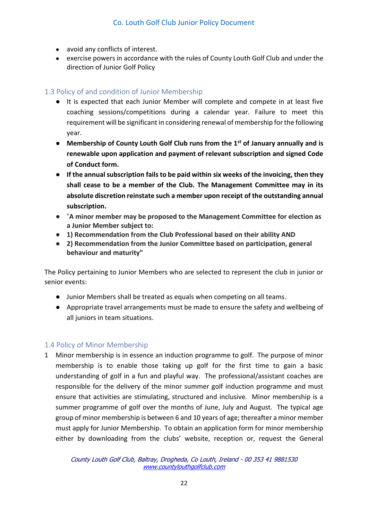- avoid any conflicts of interest.
- exercise powers in accordance with the rules of County Louth Golf Club and under the direction of Junior Golf Policy

### <span id="page-21-0"></span>1.3 Policy of and condition of Junior Membership

- It is expected that each Junior Member will complete and compete in at least five coaching sessions/competitions during a calendar year. Failure to meet this requirement will be significant in considering renewal of membership for the following year.
- **Membership of County Louth Golf Club runs from the 1st of January annually and is renewable upon application and payment of relevant subscription and signed Code of Conduct form.**
- **If the annual subscription fails to be paid within six weeks of the invoicing, then they shall cease to be a member of the Club. The Management Committee may in its absolute discretion reinstate such a member upon receipt of the outstanding annual subscription.**
- "**A minor member may be proposed to the Management Committee for election as a Junior Member subject to:**
- **1) Recommendation from the Club Professional based on their ability AND**
- **2) Recommendation from the Junior Committee based on participation, general behaviour and maturity"**

The Policy pertaining to Junior Members who are selected to represent the club in junior or senior events:

- Junior Members shall be treated as equals when competing on all teams.
- Appropriate travel arrangements must be made to ensure the safety and wellbeing of all juniors in team situations.

### <span id="page-21-1"></span>1.4 Policy of Minor Membership

1 Minor membership is in essence an induction programme to golf. The purpose of minor membership is to enable those taking up golf for the first time to gain a basic understanding of golf in a fun and playful way. The professional/assistant coaches are responsible for the delivery of the minor summer golf induction programme and must ensure that activities are stimulating, structured and inclusive. Minor membership is a summer programme of golf over the months of June, July and August. The typical age group of minor membership is between 6 and 10 years of age; thereafter a minor member must apply for Junior Membership. To obtain an application form for minor membership either by downloading from the clubs' website, reception or, request the General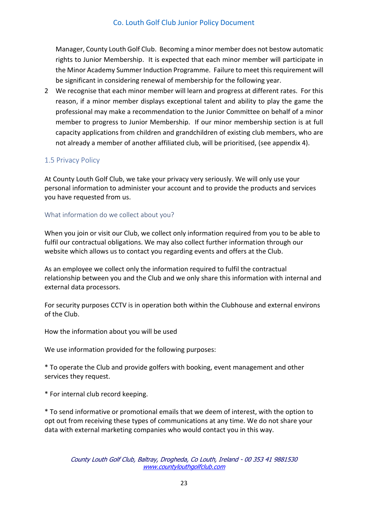Manager, County Louth Golf Club. Becoming a minor member does not bestow automatic rights to Junior Membership. It is expected that each minor member will participate in the Minor Academy Summer Induction Programme. Failure to meet this requirement will be significant in considering renewal of membership for the following year.

2 We recognise that each minor member will learn and progress at different rates. For this reason, if a minor member displays exceptional talent and ability to play the game the professional may make a recommendation to the Junior Committee on behalf of a minor member to progress to Junior Membership. If our minor membership section is at full capacity applications from children and grandchildren of existing club members, who are not already a member of another affiliated club, will be prioritised, (see appendix 4).

### <span id="page-22-0"></span>1.5 Privacy Policy

At County Louth Golf Club, we take your privacy very seriously. We will only use your personal information to administer your account and to provide the products and services you have requested from us.

### <span id="page-22-1"></span>What information do we collect about you?

When you join or visit our Club, we collect only information required from you to be able to fulfil our contractual obligations. We may also collect further information through our website which allows us to contact you regarding events and offers at the Club.

As an employee we collect only the information required to fulfil the contractual relationship between you and the Club and we only share this information with internal and external data processors.

For security purposes CCTV is in operation both within the Clubhouse and external environs of the Club.

How the information about you will be used

We use information provided for the following purposes:

\* To operate the Club and provide golfers with booking, event management and other services they request.

\* For internal club record keeping.

\* To send informative or promotional emails that we deem of interest, with the option to opt out from receiving these types of communications at any time. We do not share your data with external marketing companies who would contact you in this way.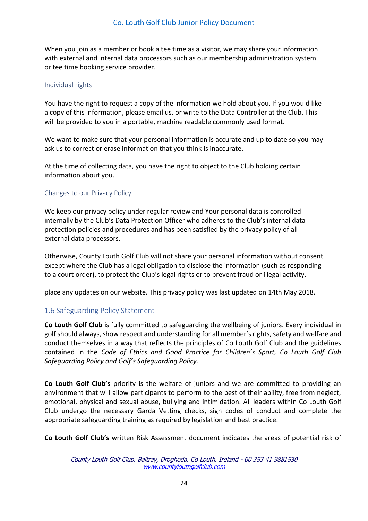When you join as a member or book a tee time as a visitor, we may share your information with external and internal data processors such as our membership administration system or tee time booking service provider.

### <span id="page-23-0"></span>Individual rights

You have the right to request a copy of the information we hold about you. If you would like a copy of this information, please email us, or write to the Data Controller at the Club. This will be provided to you in a portable, machine readable commonly used format.

We want to make sure that your personal information is accurate and up to date so you may ask us to correct or erase information that you think is inaccurate.

At the time of collecting data, you have the right to object to the Club holding certain information about you.

### <span id="page-23-1"></span>Changes to our Privacy Policy

We keep our privacy policy under regular review and Your personal data is controlled internally by the Club's Data Protection Officer who adheres to the Club's internal data protection policies and procedures and has been satisfied by the privacy policy of all external data processors.

Otherwise, County Louth Golf Club will not share your personal information without consent except where the Club has a legal obligation to disclose the information (such as responding to a court order), to protect the Club's legal rights or to prevent fraud or illegal activity.

place any updates on our website. This privacy policy was last updated on 14th May 2018.

### <span id="page-23-2"></span>1.6 Safeguarding Policy Statement

**Co Louth Golf Club** is fully committed to safeguarding the wellbeing of juniors. Every individual in golf should always, show respect and understanding for all member's rights, safety and welfare and conduct themselves in a way that reflects the principles of Co Louth Golf Club and the guidelines contained in the *Code of Ethics and Good Practice for Children's Sport, Co Louth Golf Club Safeguarding Policy and Golf's Safeguarding Policy.*

**Co Louth Golf Club's** priority is the welfare of juniors and we are committed to providing an environment that will allow participants to perform to the best of their ability, free from neglect, emotional, physical and sexual abuse, bullying and intimidation. All leaders within Co Louth Golf Club undergo the necessary Garda Vetting checks, sign codes of conduct and complete the appropriate safeguarding training as required by legislation and best practice.

**Co Louth Golf Club's** written Risk Assessment document indicates the areas of potential risk of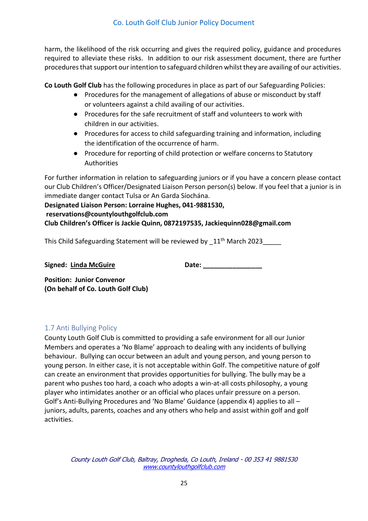harm, the likelihood of the risk occurring and gives the required policy, guidance and procedures required to alleviate these risks. In addition to our risk assessment document, there are further procedures that support our intention to safeguard children whilst they are availing of our activities.

**Co Louth Golf Club** has the following procedures in place as part of our Safeguarding Policies:

- Procedures for the management of allegations of abuse or misconduct by staff or volunteers against a child availing of our activities.
- Procedures for the safe recruitment of staff and volunteers to work with children in our activities.
- Procedures for access to child safeguarding training and information, including the identification of the occurrence of harm.
- Procedure for reporting of child protection or welfare concerns to Statutory Authorities

For further information in relation to safeguarding juniors or if you have a concern please contact our Club Children's Officer/Designated Liaison Person person(s) below. If you feel that a junior is in immediate danger contact Tulsa or An Garda Síochána.

### **Designated Liaison Person: Lorraine Hughes, 041-9881530, reservations@countylouthgolfclub.com Club Children's Officer is Jackie Quinn, 0872197535, Jackiequinn028@gmail.com**

This Child Safeguarding Statement will be reviewed by 11<sup>th</sup> March 2023

Signed: Linda McGuire **Date:** Date:

**Position: Junior Convenor (On behalf of Co. Louth Golf Club)**

### <span id="page-24-0"></span>1.7 Anti Bullying Policy

County Louth Golf Club is committed to providing a safe environment for all our Junior Members and operates a 'No Blame' approach to dealing with any incidents of bullying behaviour. Bullying can occur between an adult and young person, and young person to young person. In either case, it is not acceptable within Golf. The competitive nature of golf can create an environment that provides opportunities for bullying. The bully may be a parent who pushes too hard, a coach who adopts a win-at-all costs philosophy, a young player who intimidates another or an official who places unfair pressure on a person. Golf's Anti-Bullying Procedures and 'No Blame' Guidance (appendix 4) applies to all – juniors, adults, parents, coaches and any others who help and assist within golf and golf activities.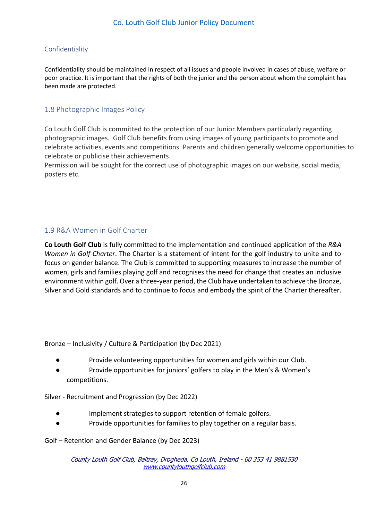### <span id="page-25-0"></span>Confidentiality

Confidentiality should be maintained in respect of all issues and people involved in cases of abuse, welfare or poor practice. It is important that the rights of both the junior and the person about whom the complaint has been made are protected.

### <span id="page-25-1"></span>1.8 Photographic Images Policy

Co Louth Golf Club is committed to the protection of our Junior Members particularly regarding photographic images. Golf Club benefits from using images of young participants to promote and celebrate activities, events and competitions. Parents and children generally welcome opportunities to celebrate or publicise their achievements.

Permission will be sought for the correct use of photographic images on our website, social media, posters etc.

### <span id="page-25-2"></span>1.9 R&A Women in Golf Charter

**Co Louth Golf Club** is fully committed to the implementation and continued application of the *R&A Women in Golf Charter*. The Charter is a statement of intent for the golf industry to unite and to focus on gender balance. The Club is committed to supporting measures to increase the number of women, girls and families playing golf and recognises the need for change that creates an inclusive environment within golf. Over a three-year period, the Club have undertaken to achieve the Bronze, Silver and Gold standards and to continue to focus and embody the spirit of the Charter thereafter.

Bronze – Inclusivity / Culture & Participation (by Dec 2021)

- Provide volunteering opportunities for women and girls within our Club.
- Provide opportunities for juniors' golfers to play in the Men's & Women's competitions.

Silver - Recruitment and Progression (by Dec 2022)

- Implement strategies to support retention of female golfers.
- Provide opportunities for families to play together on a regular basis.

Golf – Retention and Gender Balance (by Dec 2023)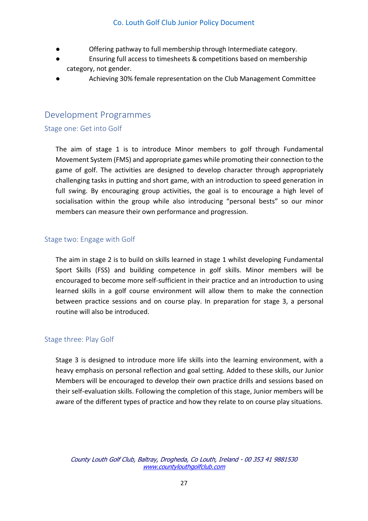- Offering pathway to full membership through Intermediate category.
- Ensuring full access to timesheets & competitions based on membership category, not gender.
- Achieving 30% female representation on the Club Management Committee

### <span id="page-26-0"></span>Development Programmes

### <span id="page-26-1"></span>Stage one: Get into Golf

The aim of stage 1 is to introduce Minor members to golf through Fundamental Movement System (FMS) and appropriate games while promoting their connection to the game of golf. The activities are designed to develop character through appropriately challenging tasks in putting and short game, with an introduction to speed generation in full swing. By encouraging group activities, the goal is to encourage a high level of socialisation within the group while also introducing "personal bests" so our minor members can measure their own performance and progression.

### <span id="page-26-2"></span>Stage two: Engage with Golf

The aim in stage 2 is to build on skills learned in stage 1 whilst developing Fundamental Sport Skills (FSS) and building competence in golf skills. Minor members will be encouraged to become more self-sufficient in their practice and an introduction to using learned skills in a golf course environment will allow them to make the connection between practice sessions and on course play. In preparation for stage 3, a personal routine will also be introduced.

### <span id="page-26-3"></span>Stage three: Play Golf

Stage 3 is designed to introduce more life skills into the learning environment, with a heavy emphasis on personal reflection and goal setting. Added to these skills, our Junior Members will be encouraged to develop their own practice drills and sessions based on their self-evaluation skills. Following the completion of this stage, Junior members will be aware of the different types of practice and how they relate to on course play situations.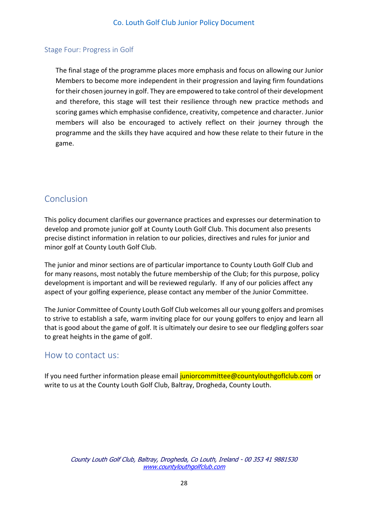### <span id="page-27-0"></span>Stage Four: Progress in Golf

The final stage of the programme places more emphasis and focus on allowing our Junior Members to become more independent in their progression and laying firm foundations for their chosen journey in golf. They are empowered to take control of their development and therefore, this stage will test their resilience through new practice methods and scoring games which emphasise confidence, creativity, competence and character. Junior members will also be encouraged to actively reflect on their journey through the programme and the skills they have acquired and how these relate to their future in the game.

### <span id="page-27-1"></span>**Conclusion**

This policy document clarifies our governance practices and expresses our determination to develop and promote junior golf at County Louth Golf Club. This document also presents precise distinct information in relation to our policies, directives and rules for junior and minor golf at County Louth Golf Club.

The junior and minor sections are of particular importance to County Louth Golf Club and for many reasons, most notably the future membership of the Club; for this purpose, policy development is important and will be reviewed regularly. If any of our policies affect any aspect of your golfing experience, please contact any member of the Junior Committee.

The Junior Committee of County Louth Golf Club welcomes all our young golfers and promises to strive to establish a safe, warm inviting place for our young golfers to enjoy and learn all that is good about the game of golf. It is ultimately our desire to see our fledgling golfers soar to great heights in the game of golf.

### <span id="page-27-2"></span>How to contact us:

If you need further information please email juniorcommittee@countylouthgoficlub.com or write to us at the County Louth Golf Club, Baltray, Drogheda, County Louth.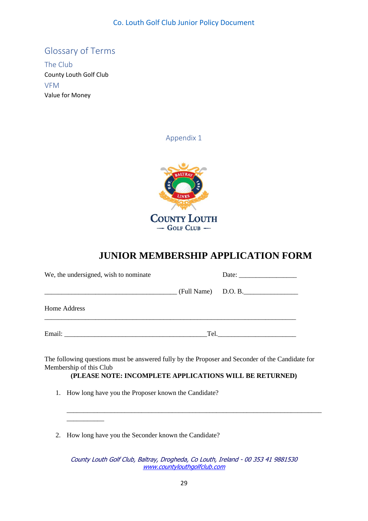### <span id="page-28-0"></span>Glossary of Terms

<span id="page-28-3"></span><span id="page-28-2"></span><span id="page-28-1"></span>The Club County Louth Golf Club VFM Value for Money

Appendix 1



### **JUNIOR MEMBERSHIP APPLICATION FORM**

| We, the undersigned, wish to nominate                                                                                  |                                                                                                                                                                                                                                |  |
|------------------------------------------------------------------------------------------------------------------------|--------------------------------------------------------------------------------------------------------------------------------------------------------------------------------------------------------------------------------|--|
| <u> 1989 - Johann Barn, mars ann an t-Amhain ann an t-Amhain ann an t-Amhain ann an t-Amhain ann an t-Amhain ann a</u> | $(Full Name)$ D.O. B.                                                                                                                                                                                                          |  |
| Home Address                                                                                                           |                                                                                                                                                                                                                                |  |
|                                                                                                                        | Tel. The contract of the contract of the contract of the contract of the contract of the contract of the contract of the contract of the contract of the contract of the contract of the contract of the contract of the contr |  |

The following questions must be answered fully by the Proposer and Seconder of the Candidate for Membership of this Club

**(PLEASE NOTE: INCOMPLETE APPLICATIONS WILL BE RETURNED)**

\_\_\_\_\_\_\_\_\_\_\_\_\_\_\_\_\_\_\_\_\_\_\_\_\_\_\_\_\_\_\_\_\_\_\_\_\_\_\_\_\_\_\_\_\_\_\_\_\_\_\_\_\_\_\_\_\_\_\_\_\_\_\_\_\_\_\_\_\_\_\_\_\_\_\_

- 1. How long have you the Proposer known the Candidate?
- 2. How long have you the Seconder known the Candidate?

\_\_\_\_\_\_\_\_\_\_\_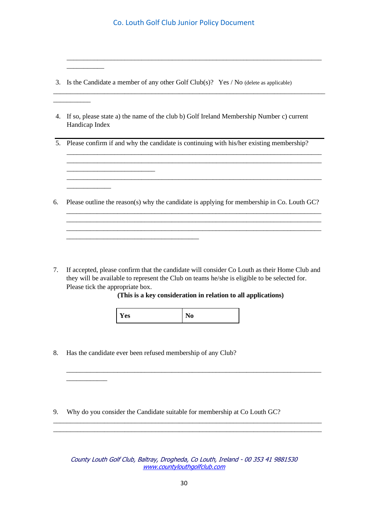\_\_\_\_\_\_\_\_\_\_\_\_\_\_\_\_\_\_\_\_\_\_\_\_\_\_\_\_\_\_\_\_\_\_\_\_\_\_\_\_\_\_\_\_\_\_\_\_\_\_\_\_\_\_\_\_\_\_\_\_\_\_\_\_\_\_\_\_\_\_\_\_\_\_\_

\_\_\_\_\_\_\_\_\_\_\_\_\_\_\_\_\_\_\_\_\_\_\_\_\_\_\_\_\_\_\_\_\_\_\_\_\_\_\_\_\_\_\_\_\_\_\_\_\_\_\_\_\_\_\_\_\_\_\_\_\_\_\_\_\_\_\_\_\_\_\_\_\_\_\_\_\_\_\_\_

3. Is the Candidate a member of any other Golf Club(s)? Yes / No (delete as applicable)

\_\_\_\_\_\_\_\_\_\_\_

\_\_\_\_\_\_\_\_\_\_\_\_\_\_\_\_\_\_\_\_\_\_\_\_\_\_

\_\_\_\_\_\_\_\_\_\_\_\_\_\_\_\_\_\_\_\_\_\_\_\_\_\_\_\_\_\_\_\_\_\_\_\_\_\_\_

\_\_\_\_\_\_\_\_\_\_\_\_\_

\_\_\_\_\_\_\_\_\_\_\_\_

\_\_\_\_\_\_\_\_\_\_\_

- 4. If so, please state a) the name of the club b) Golf Ireland Membership Number c) current Handicap Index
- 5. Please confirm if and why the candidate is continuing with his/her existing membership?

\_\_\_\_\_\_\_\_\_\_\_\_\_\_\_\_\_\_\_\_\_\_\_\_\_\_\_\_\_\_\_\_\_\_\_\_\_\_\_\_\_\_\_\_\_\_\_\_\_\_\_\_\_\_\_\_\_\_\_\_\_\_\_\_\_\_\_\_\_\_\_\_\_\_\_ \_\_\_\_\_\_\_\_\_\_\_\_\_\_\_\_\_\_\_\_\_\_\_\_\_\_\_\_\_\_\_\_\_\_\_\_\_\_\_\_\_\_\_\_\_\_\_\_\_\_\_\_\_\_\_\_\_\_\_\_\_\_\_\_\_\_\_\_\_\_\_\_\_\_\_

\_\_\_\_\_\_\_\_\_\_\_\_\_\_\_\_\_\_\_\_\_\_\_\_\_\_\_\_\_\_\_\_\_\_\_\_\_\_\_\_\_\_\_\_\_\_\_\_\_\_\_\_\_\_\_\_\_\_\_\_\_\_\_\_\_\_\_\_\_\_\_\_\_\_\_

\_\_\_\_\_\_\_\_\_\_\_\_\_\_\_\_\_\_\_\_\_\_\_\_\_\_\_\_\_\_\_\_\_\_\_\_\_\_\_\_\_\_\_\_\_\_\_\_\_\_\_\_\_\_\_\_\_\_\_\_\_\_\_\_\_\_\_\_\_\_\_\_\_\_\_ \_\_\_\_\_\_\_\_\_\_\_\_\_\_\_\_\_\_\_\_\_\_\_\_\_\_\_\_\_\_\_\_\_\_\_\_\_\_\_\_\_\_\_\_\_\_\_\_\_\_\_\_\_\_\_\_\_\_\_\_\_\_\_\_\_\_\_\_\_\_\_\_\_\_\_ \_\_\_\_\_\_\_\_\_\_\_\_\_\_\_\_\_\_\_\_\_\_\_\_\_\_\_\_\_\_\_\_\_\_\_\_\_\_\_\_\_\_\_\_\_\_\_\_\_\_\_\_\_\_\_\_\_\_\_\_\_\_\_\_\_\_\_\_\_\_\_\_\_\_\_

6. Please outline the reason(s) why the candidate is applying for membership in Co. Louth GC?

7. If accepted, please confirm that the candidate will consider Co Louth as their Home Club and they will be available to represent the Club on teams he/she is eligible to be selected for. Please tick the appropriate box.

**(This is a key consideration in relation to all applications)**

\_\_\_\_\_\_\_\_\_\_\_\_\_\_\_\_\_\_\_\_\_\_\_\_\_\_\_\_\_\_\_\_\_\_\_\_\_\_\_\_\_\_\_\_\_\_\_\_\_\_\_\_\_\_\_\_\_\_\_\_\_\_\_\_\_\_\_\_\_\_\_\_\_\_\_

| Yes | $\sim 10^{-1}$ |
|-----|----------------|

8. Has the candidate ever been refused membership of any Club?

9. Why do you consider the Candidate suitable for membership at Co Louth GC?

County Louth Golf Club, Baltray, Drogheda, Co Louth, Ireland - 00 353 41 9881530 [www.countylouthgolfclub.com](http://www.countylouthgolfclub.com/)

\_\_\_\_\_\_\_\_\_\_\_\_\_\_\_\_\_\_\_\_\_\_\_\_\_\_\_\_\_\_\_\_\_\_\_\_\_\_\_\_\_\_\_\_\_\_\_\_\_\_\_\_\_\_\_\_\_\_\_\_\_\_\_\_\_\_\_\_\_\_\_\_\_\_\_\_\_\_\_ \_\_\_\_\_\_\_\_\_\_\_\_\_\_\_\_\_\_\_\_\_\_\_\_\_\_\_\_\_\_\_\_\_\_\_\_\_\_\_\_\_\_\_\_\_\_\_\_\_\_\_\_\_\_\_\_\_\_\_\_\_\_\_\_\_\_\_\_\_\_\_\_\_\_\_\_\_\_\_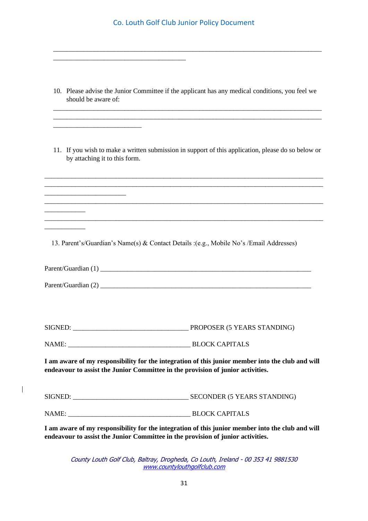|                                                                                 | Co. Louth Golf Club Junior Policy Document                                                                            |
|---------------------------------------------------------------------------------|-----------------------------------------------------------------------------------------------------------------------|
|                                                                                 |                                                                                                                       |
|                                                                                 |                                                                                                                       |
| should be aware of:                                                             | 10. Please advise the Junior Committee if the applicant has any medical conditions, you feel we                       |
|                                                                                 | <u> 1989 - Johann Stoff, deutscher Stoff, der Stoff, der Stoff, der Stoff, der Stoff, der Stoff, der Stoff, der S</u> |
| by attaching it to this form.                                                   | 11. If you wish to make a written submission in support of this application, please do so below or                    |
|                                                                                 |                                                                                                                       |
|                                                                                 | <u> 1989 - Johann Stoff, amerikansk politiker (d. 1989)</u>                                                           |
|                                                                                 |                                                                                                                       |
|                                                                                 | 13. Parent's/Guardian's Name(s) & Contact Details :(e.g., Mobile No's /Email Addresses)                               |
|                                                                                 |                                                                                                                       |
|                                                                                 |                                                                                                                       |
|                                                                                 |                                                                                                                       |
|                                                                                 |                                                                                                                       |
| endeavour to assist the Junior Committee in the provision of junior activities. | I am aware of my responsibility for the integration of this junior member into the club and will                      |
|                                                                                 |                                                                                                                       |
|                                                                                 |                                                                                                                       |
| endeavour to assist the Junior Committee in the provision of junior activities. | I am aware of my responsibility for the integration of this junior member into the club and will                      |

County Louth Golf Club, Baltray, Drogheda, Co Louth, Ireland - 00 353 41 9881530 [www.countylouthgolfclub.com](http://www.countylouthgolfclub.com/)

 $\begin{array}{c} \hline \end{array}$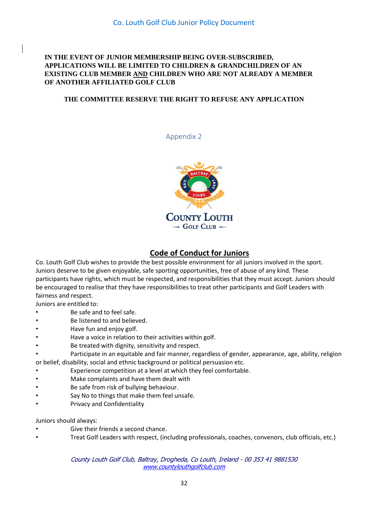### **IN THE EVENT OF JUNIOR MEMBERSHIP BEING OVER-SUBSCRIBED, APPLICATIONS WILL BE LIMITED TO CHILDREN & GRANDCHILDREN OF AN EXISTING CLUB MEMBER AND CHILDREN WHO ARE NOT ALREADY A MEMBER OF ANOTHER AFFILIATED GOLF CLUB**

#### <span id="page-31-0"></span>**THE COMMITTEE RESERVE THE RIGHT TO REFUSE ANY APPLICATION**

Appendix 2



### **Code of Conduct for Juniors**

Co. Louth Golf Club wishes to provide the best possible environment for all juniors involved in the sport. Juniors deserve to be given enjoyable, safe sporting opportunities, free of abuse of any kind. These participants have rights, which must be respected, and responsibilities that they must accept. Juniors should be encouraged to realise that they have responsibilities to treat other participants and Golf Leaders with fairness and respect.

Juniors are entitled to:

- Be safe and to feel safe.
- Be listened to and believed.
- Have fun and enjoy golf.
- Have a voice in relation to their activities within golf.
- Be treated with dignity, sensitivity and respect.
- Participate in an equitable and fair manner, regardless of gender, appearance, age, ability, religion or belief, disability, social and ethnic background or political persuasion etc.
- Experience competition at a level at which they feel comfortable.
- Make complaints and have them dealt with
- Be safe from risk of bullying behaviour.
- Say No to things that make them feel unsafe.
- Privacy and Confidentiality

Juniors should always:

- Give their friends a second chance.
- Treat Golf Leaders with respect, (including professionals, coaches, convenors, club officials, etc.)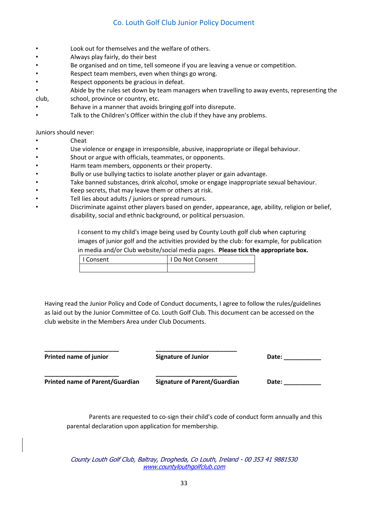- Look out for themselves and the welfare of others.
- Always play fairly, do their best
- Be organised and on time, tell someone if you are leaving a venue or competition.
- Respect team members, even when things go wrong.
- Respect opponents be gracious in defeat.
- Abide by the rules set down by team managers when travelling to away events, representing the
- club, school, province or country, etc.
- Behave in a manner that avoids bringing golf into disrepute.
- Talk to the Children's Officer within the club if they have any problems.

Juniors should never:

- Cheat
- Use violence or engage in irresponsible, abusive, inappropriate or illegal behaviour.
- Shout or argue with officials, teammates, or opponents.
- Harm team members, opponents or their property.
- Bully or use bullying tactics to isolate another player or gain advantage.
- Take banned substances, drink alcohol, smoke or engage inappropriate sexual behaviour.
- Keep secrets, that may leave them or others at risk.
- Tell lies about adults / juniors or spread rumours.
- Discriminate against other players based on gender, appearance, age, ability, religion or belief, disability, social and ethnic background, or political persuasion.

I consent to my child's image being used by County Louth golf club when capturing images of junior golf and the activities provided by the club: for example, for publication in media and/or Club website/social media pages. **Please tick the appropriate box.**

| I Consent | <b>Do Not Consent</b> |
|-----------|-----------------------|
|           |                       |

Having read the Junior Policy and Code of Conduct documents, I agree to follow the rules/guidelines as laid out by the Junior Committee of Co. Louth Golf Club. This document can be accessed on the club website in the Members Area under Club Documents.

| <b>Printed name of junior</b>          | <b>Signature of Junior</b>          | Date: |
|----------------------------------------|-------------------------------------|-------|
| <b>Printed name of Parent/Guardian</b> | <b>Signature of Parent/Guardian</b> | Date: |

Parents are requested to co-sign their child's code of conduct form annually and this parental declaration upon application for membership.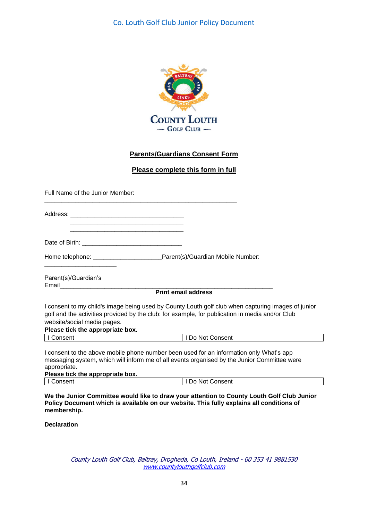

### **Parents/Guardians Consent Form**

#### **Please complete this form in full**

Full Name of the Junior Member:

| Address: |  |  |
|----------|--|--|

Date of Birth:

 \_\_\_\_\_\_\_\_\_\_\_\_\_\_\_\_\_\_\_\_\_\_\_\_\_\_\_\_\_\_\_\_\_ \_\_\_\_\_\_\_\_\_\_\_\_\_\_\_\_\_\_\_\_\_\_\_\_\_\_\_\_\_\_\_\_\_

Home telephone: <br>
Home telephone: example a parent(s)/Guardian Mobile Number:

\_\_\_\_\_\_\_\_\_\_\_\_\_\_\_\_\_\_\_\_\_\_\_\_\_\_\_\_\_\_\_\_\_\_\_\_\_\_\_\_\_\_\_\_\_\_\_\_\_\_\_\_\_\_\_\_

Parent(s)/Guardian's Email\_\_\_\_\_\_\_\_\_\_\_\_\_\_\_\_\_\_\_\_\_\_\_\_\_\_\_\_\_\_\_\_\_\_\_\_\_\_\_\_\_\_\_\_\_\_\_\_\_\_\_\_\_\_\_\_\_\_\_\_\_\_

\_\_\_\_\_\_\_\_\_\_\_\_\_\_\_\_\_\_\_\_\_

**Print email address**

I consent to my child's image being used by County Louth golf club when capturing images of junior golf and the activities provided by the club: for example, for publication in media and/or Club website/social media pages.

#### **Please tick the appropriate box.**

I Consent I Do Not Consent

I consent to the above mobile phone number been used for an information only What's app messaging system, which will inform me of all events organised by the Junior Committee were appropriate.

#### **Please tick the appropriate box.**

| nncant<br>וושפו " | Consent<br>No)<br>JС |
|-------------------|----------------------|
|                   |                      |

**We the Junior Committee would like to draw your attention to County Louth Golf Club Junior Policy Document which is available on our website. This fully explains all conditions of membership.**

**Declaration**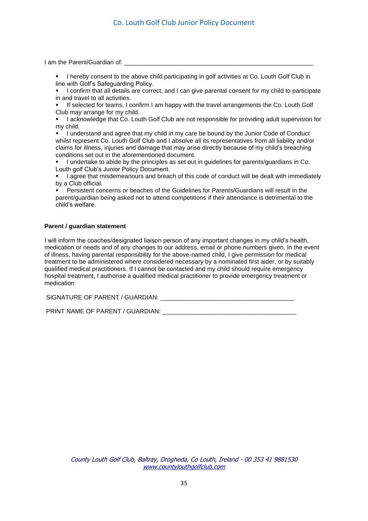I am the Parent/Guardian of:

- I hereby consent to the above child participating in golf activities at Co. Louth Golf Club in line with Golf's Safeguarding Policy.
- **·** I confirm that all details are correct, and I can give parental consent for my child to participate in and travel to all activities.
- If selected for teams, I confirm I am happy with the travel arrangements the Co. Louth Golf Club may arrange for my child.
- I acknowledge that Co. Louth Golf Club are not responsible for providing adult supervision for my child.

▪ I understand and agree that my child in my care be bound by the Junior Code of Conduct whilst represent Co. Louth Golf Club and I absolve all its representatives from all liability and/or claims for illness, injuries and damage that may arise directly because of my child's breaching conditions set out in the aforementioned document.

- I undertake to abide by the principles as set out in guidelines for parents/guardians in Co. Louth golf Club's Junior Policy Document.
- I agree that misdemeanours and breach of this code of conduct will be dealt with immediately by a Club official.
- Persistent concerns or beaches of the Guidelines for Parents/Guardians will result in the parent/guardian being asked not to attend competitions if their attendance is detrimental to the child's welfare.

#### **Parent / guardian statement**

I will inform the coaches/designated liaison person of any important changes in my child's health, medication or needs and of any changes to our address, email or phone numbers given. In the event of illness, having parental responsibility for the above-named child, I give permission for medical treatment to be administered where considered necessary by a nominated first aider, or by suitably qualified medical practitioners. If I cannot be contacted and my child should require emergency hospital treatment, I authorise a qualified medical practitioner to provide emergency treatment or medication

SIGNATURE OF PARENT / GUARDIAN:

PRINT NAME OF PARENT / GUARDIAN: \_\_\_\_\_\_\_\_\_\_\_\_\_\_\_\_\_\_\_\_\_\_\_\_\_\_\_\_\_\_\_\_\_\_\_\_\_\_\_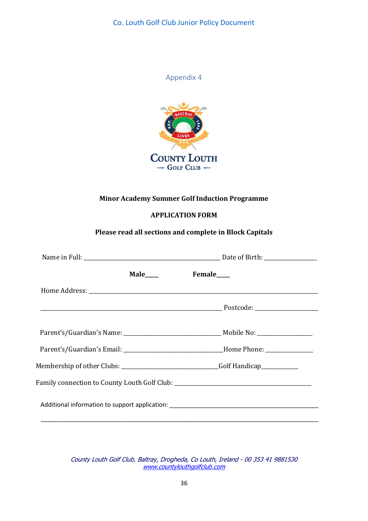

<span id="page-35-0"></span>

### **Minor Academy Summer Golf Induction Programme**

### **APPLICATION FORM**

### **Please read all sections and complete in Block Capitals**

| Male____                                                                              | Female____                                                                                           |
|---------------------------------------------------------------------------------------|------------------------------------------------------------------------------------------------------|
|                                                                                       |                                                                                                      |
|                                                                                       |                                                                                                      |
|                                                                                       |                                                                                                      |
|                                                                                       |                                                                                                      |
|                                                                                       | Parent's/Guardian's Email: ___________________________________Home Phone: __________________________ |
| Membership of other Clubs: __________________________________Golf Handicap___________ |                                                                                                      |
| Family connection to County Louth Golf Club: ___________________________________      |                                                                                                      |
|                                                                                       |                                                                                                      |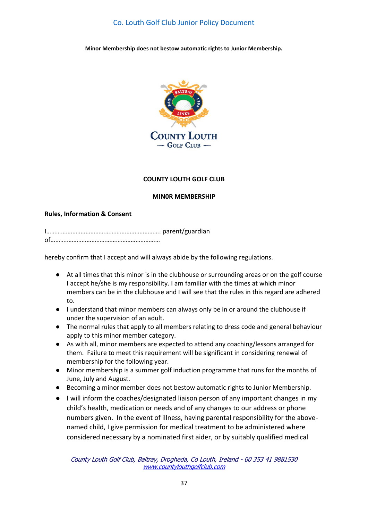**Minor Membership does not bestow automatic rights to Junior Membership.**



#### **COUNTY LOUTH GOLF CLUB**

#### **MIN0R MEMBERSHIP**

#### **Rules, Information & Consent**

I……………………………………………………………. parent/guardian of……….…………………………………………………

hereby confirm that I accept and will always abide by the following regulations.

- At all times that this minor is in the clubhouse or surrounding areas or on the golf course I accept he/she is my responsibility. I am familiar with the times at which minor members can be in the clubhouse and I will see that the rules in this regard are adhered to.
- I understand that minor members can always only be in or around the clubhouse if under the supervision of an adult.
- The normal rules that apply to all members relating to dress code and general behaviour apply to this minor member category.
- As with all, minor members are expected to attend any coaching/lessons arranged for them. Failure to meet this requirement will be significant in considering renewal of membership for the following year.
- Minor membership is a summer golf induction programme that runs for the months of June, July and August.
- Becoming a minor member does not bestow automatic rights to Junior Membership.
- I will inform the coaches/designated liaison person of any important changes in my child's health, medication or needs and of any changes to our address or phone numbers given. In the event of illness, having parental responsibility for the abovenamed child, I give permission for medical treatment to be administered where considered necessary by a nominated first aider, or by suitably qualified medical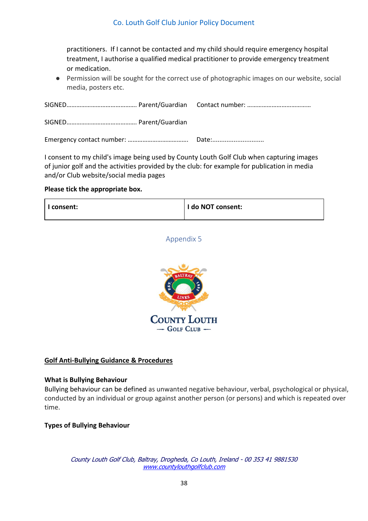practitioners. If I cannot be contacted and my child should require emergency hospital treatment, I authorise a qualified medical practitioner to provide emergency treatment or medication.

● Permission will be sought for the correct use of photographic images on our website, social media, posters etc.

I consent to my child's image being used by County Louth Golf Club when capturing images of junior golf and the activities provided by the club: for example for publication in media and/or Club website/social media pages

#### **Please tick the appropriate box.**

<span id="page-37-0"></span>

| 'I consent: | I do NOT consent: |
|-------------|-------------------|
|-------------|-------------------|

### Appendix 5



### **Golf Anti-Bullying Guidance & Procedures**

#### **What is Bullying Behaviour**

Bullying behaviour can be defined as unwanted negative behaviour, verbal, psychological or physical, conducted by an individual or group against another person (or persons) and which is repeated over time.

### **Types of Bullying Behaviour**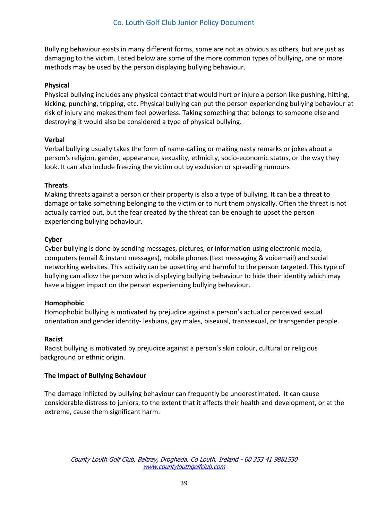Bullying behaviour exists in many different forms, some are not as obvious as others, but are just as damaging to the victim. Listed below are some of the more common types of bullying, one or more methods may be used by the person displaying bullying behaviour.

### **Physical**

Physical bullying includes any physical contact that would hurt or injure a person like pushing, hitting, kicking, punching, tripping, etc. Physical bullying can put the person experiencing bullying behaviour at risk of injury and makes them feel powerless. Taking something that belongs to someone else and destroying it would also be considered a type of physical bullying.

### **Verbal**

Verbal bullying usually takes the form of name-calling or making nasty remarks or jokes about a person's religion, gender, appearance, sexuality, ethnicity, socio-economic status, or the way they look. It can also include freezing the victim out by exclusion or spreading rumours.

### **Threats**

Making threats against a person or their property is also a type of bullying. It can be a threat to damage or take something belonging to the victim or to hurt them physically. Often the threat is not actually carried out, but the fear created by the threat can be enough to upset the person experiencing bullying behaviour.

### **Cyber**

Cyber bullying is done by sending messages, pictures, or information using electronic media, computers (email & instant messages), mobile phones (text messaging & voicemail) and social networking websites. This activity can be upsetting and harmful to the person targeted. This type of bullying can allow the person who is displaying bullying behaviour to hide their identity which may have a bigger impact on the person experiencing bullying behaviour.

#### **Homophobic**

Homophobic bullying is motivated by prejudice against a person's actual or perceived sexual orientation and gender identity- lesbians, gay males, bisexual, transsexual, or transgender people.

#### **Racist**

Racist bullying is motivated by prejudice against a person's skin colour, cultural or religious background or ethnic origin.

#### **The Impact of Bullying Behaviour**

The damage inflicted by bullying behaviour can frequently be underestimated. It can cause considerable distress to juniors, to the extent that it affects their health and development, or at the extreme, cause them significant harm.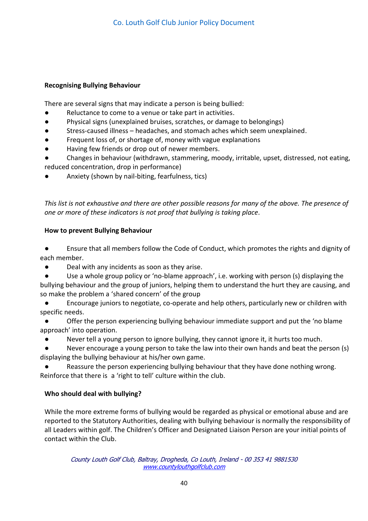### **Recognising Bullying Behaviour**

There are several signs that may indicate a person is being bullied:

- Reluctance to come to a venue or take part in activities.
- Physical signs (unexplained bruises, scratches, or damage to belongings)
- Stress-caused illness headaches, and stomach aches which seem unexplained.
- Frequent loss of, or shortage of, money with vague explanations
- Having few friends or drop out of newer members.
- Changes in behaviour (withdrawn, stammering, moody, irritable, upset, distressed, not eating, reduced concentration, drop in performance)
- Anxiety (shown by nail-biting, fearfulness, tics)

*This list is not exhaustive and there are other possible reasons for many of the above. The presence of one or more of these indicators is not proof that bullying is taking place.*

### **How to prevent Bullying Behaviour**

Ensure that all members follow the Code of Conduct, which promotes the rights and dignity of each member.

● Deal with any incidents as soon as they arise.

Use a whole group policy or 'no-blame approach', i.e. working with person (s) displaying the bullying behaviour and the group of juniors, helping them to understand the hurt they are causing, and so make the problem a 'shared concern' of the group

Encourage juniors to negotiate, co-operate and help others, particularly new or children with specific needs.

Offer the person experiencing bullying behaviour immediate support and put the 'no blame approach' into operation.

Never tell a young person to ignore bullying, they cannot ignore it, it hurts too much.

Never encourage a young person to take the law into their own hands and beat the person (s) displaying the bullying behaviour at his/her own game.

Reassure the person experiencing bullying behaviour that they have done nothing wrong. Reinforce that there is a 'right to tell' culture within the club.

### **Who should deal with bullying?**

While the more extreme forms of bullying would be regarded as physical or emotional abuse and are reported to the Statutory Authorities, dealing with bullying behaviour is normally the responsibility of all Leaders within golf. The Children's Officer and Designated Liaison Person are your initial points of contact within the Club.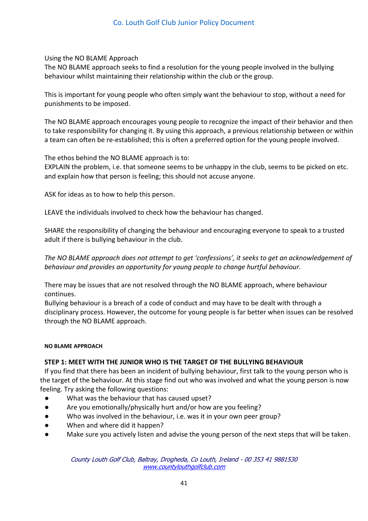Using the NO BLAME Approach

The NO BLAME approach seeks to find a resolution for the young people involved in the bullying behaviour whilst maintaining their relationship within the club or the group.

This is important for young people who often simply want the behaviour to stop, without a need for punishments to be imposed.

The NO BLAME approach encourages young people to recognize the impact of their behavior and then to take responsibility for changing it. By using this approach, a previous relationship between or within a team can often be re-established; this is often a preferred option for the young people involved.

The ethos behind the NO BLAME approach is to:

EXPLAIN the problem, i.e. that someone seems to be unhappy in the club, seems to be picked on etc. and explain how that person is feeling; this should not accuse anyone.

ASK for ideas as to how to help this person.

LEAVE the individuals involved to check how the behaviour has changed.

SHARE the responsibility of changing the behaviour and encouraging everyone to speak to a trusted adult if there is bullying behaviour in the club.

*The NO BLAME approach does not attempt to get 'confessions', it seeks to get an acknowledgement of behaviour and provides an opportunity for young people to change hurtful behaviour.* 

There may be issues that are not resolved through the NO BLAME approach, where behaviour continues.

Bullying behaviour is a breach of a code of conduct and may have to be dealt with through a disciplinary process. However, the outcome for young people is far better when issues can be resolved through the NO BLAME approach.

#### **NO BLAME APPROACH**

### **STEP 1: MEET WITH THE JUNIOR WHO IS THE TARGET OF THE BULLYING BEHAVIOUR**

If you find that there has been an incident of bullying behaviour, first talk to the young person who is the target of the behaviour. At this stage find out who was involved and what the young person is now feeling. Try asking the following questions:

- What was the behaviour that has caused upset?
- Are you emotionally/physically hurt and/or how are you feeling?
- Who was involved in the behaviour, i.e. was it in your own peer group?
- When and where did it happen?
- Make sure you actively listen and advise the young person of the next steps that will be taken.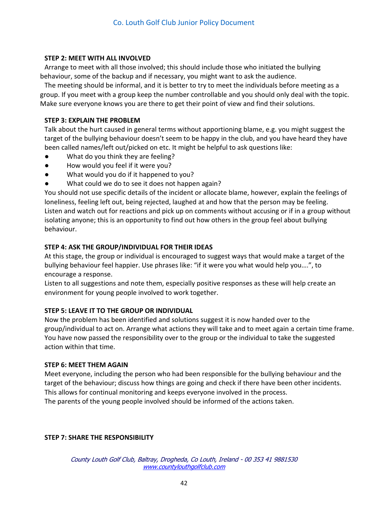### **STEP 2: MEET WITH ALL INVOLVED**

Arrange to meet with all those involved; this should include those who initiated the bullying behaviour, some of the backup and if necessary, you might want to ask the audience.

The meeting should be informal, and it is better to try to meet the individuals before meeting as a group. If you meet with a group keep the number controllable and you should only deal with the topic. Make sure everyone knows you are there to get their point of view and find their solutions.

### **STEP 3: EXPLAIN THE PROBLEM**

Talk about the hurt caused in general terms without apportioning blame, e.g. you might suggest the target of the bullying behaviour doesn't seem to be happy in the club, and you have heard they have been called names/left out/picked on etc. It might be helpful to ask questions like:

- What do you think they are feeling?
- How would you feel if it were you?
- What would you do if it happened to you?
- What could we do to see it does not happen again?

You should not use specific details of the incident or allocate blame, however, explain the feelings of loneliness, feeling left out, being rejected, laughed at and how that the person may be feeling. Listen and watch out for reactions and pick up on comments without accusing or if in a group without isolating anyone; this is an opportunity to find out how others in the group feel about bullying behaviour.

### **STEP 4: ASK THE GROUP/INDIVIDUAL FOR THEIR IDEAS**

At this stage, the group or individual is encouraged to suggest ways that would make a target of the bullying behaviour feel happier. Use phrases like: "if it were you what would help you….", to encourage a response.

Listen to all suggestions and note them, especially positive responses as these will help create an environment for young people involved to work together.

### **STEP 5: LEAVE IT TO THE GROUP OR INDIVIDUAL**

Now the problem has been identified and solutions suggest it is now handed over to the group/individual to act on. Arrange what actions they will take and to meet again a certain time frame. You have now passed the responsibility over to the group or the individual to take the suggested action within that time.

#### **STEP 6: MEET THEM AGAIN**

Meet everyone, including the person who had been responsible for the bullying behaviour and the target of the behaviour; discuss how things are going and check if there have been other incidents. This allows for continual monitoring and keeps everyone involved in the process. The parents of the young people involved should be informed of the actions taken.

### **STEP 7: SHARE THE RESPONSIBILITY**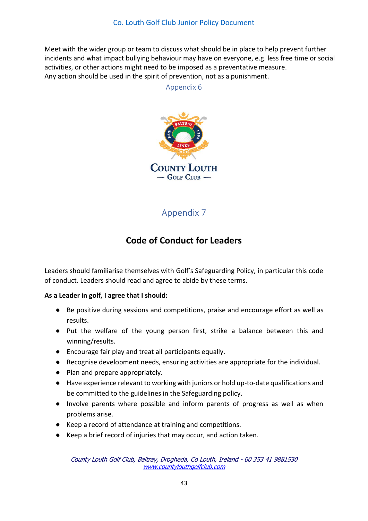<span id="page-42-0"></span>Meet with the wider group or team to discuss what should be in place to help prevent further incidents and what impact bullying behaviour may have on everyone, e.g. less free time or social activities, or other actions might need to be imposed as a preventative measure. Any action should be used in the spirit of prevention, not as a punishment.

Appendix 6



Appendix 7

### **Code of Conduct for Leaders**

<span id="page-42-1"></span>Leaders should familiarise themselves with Golf's Safeguarding Policy, in particular this code of conduct. Leaders should read and agree to abide by these terms.

### **As a Leader in golf, I agree that I should:**

- Be positive during sessions and competitions, praise and encourage effort as well as results.
- Put the welfare of the young person first, strike a balance between this and winning/results.
- Encourage fair play and treat all participants equally.
- Recognise development needs, ensuring activities are appropriate for the individual.
- Plan and prepare appropriately.
- Have experience relevant to working with juniors or hold up-to-date qualifications and be committed to the guidelines in the Safeguarding policy.
- Involve parents where possible and inform parents of progress as well as when problems arise.
- Keep a record of attendance at training and competitions.
- Keep a brief record of injuries that may occur, and action taken.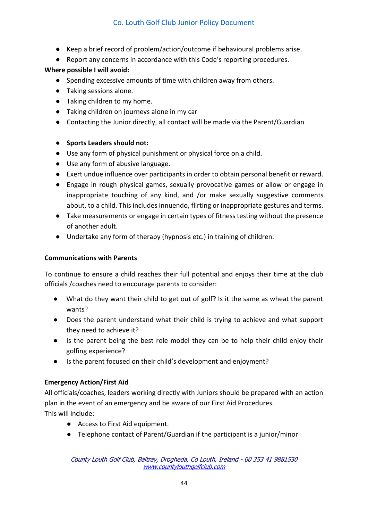- Keep a brief record of problem/action/outcome if behavioural problems arise.
- Report any concerns in accordance with this Code's reporting procedures.

### **Where possible I will avoid:**

- Spending excessive amounts of time with children away from others.
- Taking sessions alone.
- Taking children to my home.
- Taking children on journeys alone in my car
- Contacting the Junior directly, all contact will be made via the Parent/Guardian

### ● **Sports Leaders should not:**

- Use any form of physical punishment or physical force on a child.
- Use any form of abusive language.
- Exert undue influence over participants in order to obtain personal benefit or reward.
- Engage in rough physical games, sexually provocative games or allow or engage in inappropriate touching of any kind, and /or make sexually suggestive comments about, to a child. This includes innuendo, flirting or inappropriate gestures and terms.
- Take measurements or engage in certain types of fitness testing without the presence of another adult.
- Undertake any form of therapy (hypnosis etc.) in training of children.

### **Communications with Parents**

To continue to ensure a child reaches their full potential and enjoys their time at the club officials /coaches need to encourage parents to consider:

- What do they want their child to get out of golf? Is it the same as wheat the parent wants?
- Does the parent understand what their child is trying to achieve and what support they need to achieve it?
- Is the parent being the best role model they can be to help their child enjoy their golfing experience?
- Is the parent focused on their child's development and enjoyment?

### **Emergency Action/First Aid**

All officials/coaches, leaders working directly with Juniors should be prepared with an action plan in the event of an emergency and be aware of our First Aid Procedures. This will include:

- Access to First Aid equipment.
- Telephone contact of Parent/Guardian if the participant is a junior/minor